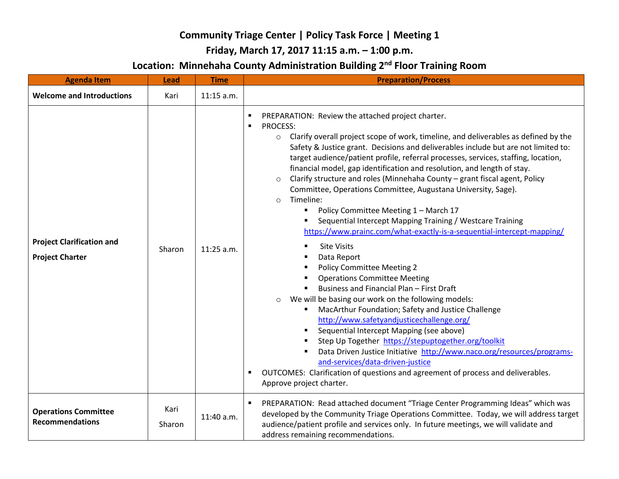## **Community Triage Center | Policy Task Force | Meeting 1**

## **Friday, March 17, 2017 11:15 a.m. – 1:00 p.m.**

## **Location: Minnehaha County Administration Building 2nd Floor Training Room**

| <b>Agenda Item</b>                                         | <b>Lead</b>    | <b>Time</b>  | <b>Preparation/Process</b>                                                                                                                                                                                                                                                                                                                                                                                                                                                                                                                                                                                                                                                                                                                                                                                                                                                                                                                                                                                                                                                                                                                                                                                                                                                                                                                                                                                                                                                                              |
|------------------------------------------------------------|----------------|--------------|---------------------------------------------------------------------------------------------------------------------------------------------------------------------------------------------------------------------------------------------------------------------------------------------------------------------------------------------------------------------------------------------------------------------------------------------------------------------------------------------------------------------------------------------------------------------------------------------------------------------------------------------------------------------------------------------------------------------------------------------------------------------------------------------------------------------------------------------------------------------------------------------------------------------------------------------------------------------------------------------------------------------------------------------------------------------------------------------------------------------------------------------------------------------------------------------------------------------------------------------------------------------------------------------------------------------------------------------------------------------------------------------------------------------------------------------------------------------------------------------------------|
| <b>Welcome and Introductions</b>                           | Kari           | $11:15$ a.m. |                                                                                                                                                                                                                                                                                                                                                                                                                                                                                                                                                                                                                                                                                                                                                                                                                                                                                                                                                                                                                                                                                                                                                                                                                                                                                                                                                                                                                                                                                                         |
| <b>Project Clarification and</b><br><b>Project Charter</b> | Sharon         | $11:25$ a.m. | PREPARATION: Review the attached project charter.<br><b>PROCESS:</b><br>$\blacksquare$<br>Clarify overall project scope of work, timeline, and deliverables as defined by the<br>$\circ$<br>Safety & Justice grant. Decisions and deliverables include but are not limited to:<br>target audience/patient profile, referral processes, services, staffing, location,<br>financial model, gap identification and resolution, and length of stay.<br>Clarify structure and roles (Minnehaha County - grant fiscal agent, Policy<br>$\circ$<br>Committee, Operations Committee, Augustana University, Sage).<br>Timeline:<br>$\Omega$<br>Policy Committee Meeting 1 - March 17<br>Sequential Intercept Mapping Training / Westcare Training<br>https://www.prainc.com/what-exactly-is-a-sequential-intercept-mapping/<br><b>Site Visits</b><br>Data Report<br><b>Policy Committee Meeting 2</b><br><b>Operations Committee Meeting</b><br>Business and Financial Plan - First Draft<br>We will be basing our work on the following models:<br>$\circ$<br>MacArthur Foundation; Safety and Justice Challenge<br>http://www.safetyandjusticechallenge.org/<br>Sequential Intercept Mapping (see above)<br>Step Up Together https://stepuptogether.org/toolkit<br>Data Driven Justice Initiative http://www.naco.org/resources/programs-<br>and-services/data-driven-justice<br>OUTCOMES: Clarification of questions and agreement of process and deliverables.<br>$\blacksquare$<br>Approve project charter. |
| <b>Operations Committee</b><br><b>Recommendations</b>      | Kari<br>Sharon | 11:40 a.m.   | PREPARATION: Read attached document "Triage Center Programming Ideas" which was<br>developed by the Community Triage Operations Committee. Today, we will address target<br>audience/patient profile and services only. In future meetings, we will validate and<br>address remaining recommendations.                                                                                                                                                                                                                                                                                                                                                                                                                                                                                                                                                                                                                                                                                                                                                                                                                                                                                                                                                                                                                                                                                                                                                                                                  |